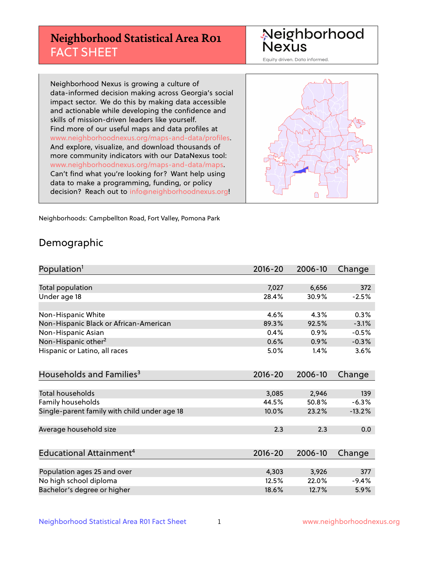## **Neighborhood Statistical Area R01** FACT SHEET

Neighborhood Nexus

Equity driven. Data informed.

Neighborhood Nexus is growing a culture of data-informed decision making across Georgia's social impact sector. We do this by making data accessible and actionable while developing the confidence and skills of mission-driven leaders like yourself. Find more of our useful maps and data profiles at www.neighborhoodnexus.org/maps-and-data/profiles. And explore, visualize, and download thousands of more community indicators with our DataNexus tool: www.neighborhoodnexus.org/maps-and-data/maps. Can't find what you're looking for? Want help using data to make a programming, funding, or policy decision? Reach out to [info@neighborhoodnexus.org!](mailto:info@neighborhoodnexus.org)



Neighborhoods: Campbellton Road, Fort Valley, Pomona Park

### Demographic

| Population <sup>1</sup>                      | $2016 - 20$ | 2006-10 | Change   |
|----------------------------------------------|-------------|---------|----------|
|                                              |             |         |          |
| Total population                             | 7,027       | 6,656   | 372      |
| Under age 18                                 | 28.4%       | 30.9%   | $-2.5%$  |
|                                              |             |         |          |
| Non-Hispanic White                           | 4.6%        | 4.3%    | 0.3%     |
| Non-Hispanic Black or African-American       | 89.3%       | 92.5%   | $-3.1%$  |
| Non-Hispanic Asian                           | 0.4%        | 0.9%    | $-0.5%$  |
| Non-Hispanic other <sup>2</sup>              | 0.6%        | 0.9%    | $-0.3%$  |
| Hispanic or Latino, all races                | 5.0%        | 1.4%    | 3.6%     |
|                                              |             |         |          |
| Households and Families <sup>3</sup>         | 2016-20     | 2006-10 | Change   |
|                                              |             |         |          |
| Total households                             | 3,085       | 2,946   | 139      |
| Family households                            | 44.5%       | 50.8%   | $-6.3%$  |
| Single-parent family with child under age 18 | 10.0%       | 23.2%   | $-13.2%$ |
|                                              |             |         |          |
| Average household size                       | 2.3         | 2.3     | 0.0      |
|                                              |             |         |          |
| Educational Attainment <sup>4</sup>          | $2016 - 20$ | 2006-10 | Change   |
|                                              |             |         |          |
| Population ages 25 and over                  | 4,303       | 3,926   | 377      |
| No high school diploma                       | 12.5%       | 22.0%   | $-9.4%$  |
| Bachelor's degree or higher                  | 18.6%       | 12.7%   | 5.9%     |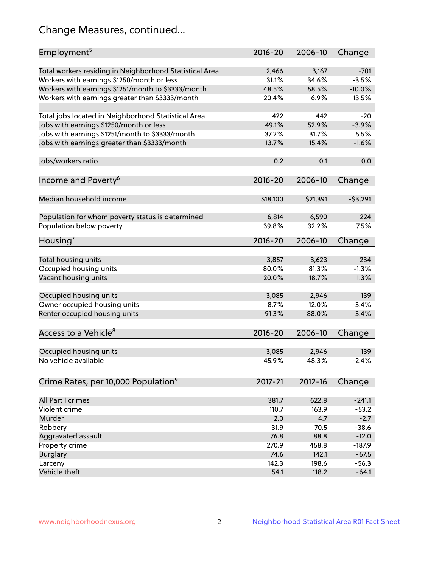## Change Measures, continued...

| Total workers residing in Neighborhood Statistical Area<br>3,167<br>$-701$<br>2,466<br>Workers with earnings \$1250/month or less<br>$-3.5%$<br>31.1%<br>34.6%<br>Workers with earnings \$1251/month to \$3333/month<br>48.5%<br>58.5%<br>$-10.0%$<br>Workers with earnings greater than \$3333/month<br>20.4%<br>6.9%<br>13.5%<br>Total jobs located in Neighborhood Statistical Area<br>422<br>442<br>$-20$<br>Jobs with earnings \$1250/month or less<br>49.1%<br>52.9%<br>$-3.9%$<br>Jobs with earnings \$1251/month to \$3333/month<br>37.2%<br>5.5%<br>31.7%<br>Jobs with earnings greater than \$3333/month<br>$-1.6%$<br>13.7%<br>15.4%<br>0.2<br>0.1<br>0.0<br>Income and Poverty <sup>6</sup><br>2016-20<br>2006-10<br>Change<br>Median household income<br>\$18,100<br>\$21,391<br>$-53,291$<br>Population for whom poverty status is determined<br>6,814<br>6,590<br>224<br>Population below poverty<br>39.8%<br>32.2%<br>7.5%<br>2016-20<br>2006-10<br>Change<br>Total housing units<br>3,857<br>3,623<br>234<br>Occupied housing units<br>$-1.3%$<br>80.0%<br>81.3%<br>Vacant housing units<br>20.0%<br>1.3%<br>18.7%<br>Occupied housing units<br>3,085<br>2,946<br>139<br>Owner occupied housing units<br>8.7%<br>12.0%<br>$-3.4%$<br>Renter occupied housing units<br>91.3%<br>88.0%<br>3.4%<br>$2016 - 20$<br>2006-10<br>Change<br>Occupied housing units<br>2,946<br>139<br>3,085<br>45.9%<br>48.3%<br>$-2.4%$<br>Crime Rates, per 10,000 Population <sup>9</sup><br>2017-21<br>2012-16<br>Change<br>381.7<br>622.8<br>All Part I crimes<br>$-241.1$<br>Violent crime<br>110.7<br>163.9<br>$-53.2$<br>Murder<br>2.0<br>4.7<br>$-2.7$<br>Robbery<br>31.9<br>$-38.6$<br>70.5<br>Aggravated assault<br>76.8<br>88.8<br>$-12.0$<br>Property crime<br>270.9<br>458.8<br>$-187.9$<br>74.6<br>142.1<br>$-67.5$<br><b>Burglary</b><br>142.3<br>Larceny<br>198.6<br>$-56.3$ | Employment <sup>5</sup>          | 2016-20 | 2006-10 | Change |
|---------------------------------------------------------------------------------------------------------------------------------------------------------------------------------------------------------------------------------------------------------------------------------------------------------------------------------------------------------------------------------------------------------------------------------------------------------------------------------------------------------------------------------------------------------------------------------------------------------------------------------------------------------------------------------------------------------------------------------------------------------------------------------------------------------------------------------------------------------------------------------------------------------------------------------------------------------------------------------------------------------------------------------------------------------------------------------------------------------------------------------------------------------------------------------------------------------------------------------------------------------------------------------------------------------------------------------------------------------------------------------------------------------------------------------------------------------------------------------------------------------------------------------------------------------------------------------------------------------------------------------------------------------------------------------------------------------------------------------------------------------------------------------------------------------------------------------------------------------------------------------------|----------------------------------|---------|---------|--------|
|                                                                                                                                                                                                                                                                                                                                                                                                                                                                                                                                                                                                                                                                                                                                                                                                                                                                                                                                                                                                                                                                                                                                                                                                                                                                                                                                                                                                                                                                                                                                                                                                                                                                                                                                                                                                                                                                                       |                                  |         |         |        |
|                                                                                                                                                                                                                                                                                                                                                                                                                                                                                                                                                                                                                                                                                                                                                                                                                                                                                                                                                                                                                                                                                                                                                                                                                                                                                                                                                                                                                                                                                                                                                                                                                                                                                                                                                                                                                                                                                       |                                  |         |         |        |
|                                                                                                                                                                                                                                                                                                                                                                                                                                                                                                                                                                                                                                                                                                                                                                                                                                                                                                                                                                                                                                                                                                                                                                                                                                                                                                                                                                                                                                                                                                                                                                                                                                                                                                                                                                                                                                                                                       |                                  |         |         |        |
|                                                                                                                                                                                                                                                                                                                                                                                                                                                                                                                                                                                                                                                                                                                                                                                                                                                                                                                                                                                                                                                                                                                                                                                                                                                                                                                                                                                                                                                                                                                                                                                                                                                                                                                                                                                                                                                                                       |                                  |         |         |        |
|                                                                                                                                                                                                                                                                                                                                                                                                                                                                                                                                                                                                                                                                                                                                                                                                                                                                                                                                                                                                                                                                                                                                                                                                                                                                                                                                                                                                                                                                                                                                                                                                                                                                                                                                                                                                                                                                                       |                                  |         |         |        |
|                                                                                                                                                                                                                                                                                                                                                                                                                                                                                                                                                                                                                                                                                                                                                                                                                                                                                                                                                                                                                                                                                                                                                                                                                                                                                                                                                                                                                                                                                                                                                                                                                                                                                                                                                                                                                                                                                       |                                  |         |         |        |
|                                                                                                                                                                                                                                                                                                                                                                                                                                                                                                                                                                                                                                                                                                                                                                                                                                                                                                                                                                                                                                                                                                                                                                                                                                                                                                                                                                                                                                                                                                                                                                                                                                                                                                                                                                                                                                                                                       |                                  |         |         |        |
|                                                                                                                                                                                                                                                                                                                                                                                                                                                                                                                                                                                                                                                                                                                                                                                                                                                                                                                                                                                                                                                                                                                                                                                                                                                                                                                                                                                                                                                                                                                                                                                                                                                                                                                                                                                                                                                                                       |                                  |         |         |        |
|                                                                                                                                                                                                                                                                                                                                                                                                                                                                                                                                                                                                                                                                                                                                                                                                                                                                                                                                                                                                                                                                                                                                                                                                                                                                                                                                                                                                                                                                                                                                                                                                                                                                                                                                                                                                                                                                                       |                                  |         |         |        |
|                                                                                                                                                                                                                                                                                                                                                                                                                                                                                                                                                                                                                                                                                                                                                                                                                                                                                                                                                                                                                                                                                                                                                                                                                                                                                                                                                                                                                                                                                                                                                                                                                                                                                                                                                                                                                                                                                       |                                  |         |         |        |
|                                                                                                                                                                                                                                                                                                                                                                                                                                                                                                                                                                                                                                                                                                                                                                                                                                                                                                                                                                                                                                                                                                                                                                                                                                                                                                                                                                                                                                                                                                                                                                                                                                                                                                                                                                                                                                                                                       | Jobs/workers ratio               |         |         |        |
|                                                                                                                                                                                                                                                                                                                                                                                                                                                                                                                                                                                                                                                                                                                                                                                                                                                                                                                                                                                                                                                                                                                                                                                                                                                                                                                                                                                                                                                                                                                                                                                                                                                                                                                                                                                                                                                                                       |                                  |         |         |        |
|                                                                                                                                                                                                                                                                                                                                                                                                                                                                                                                                                                                                                                                                                                                                                                                                                                                                                                                                                                                                                                                                                                                                                                                                                                                                                                                                                                                                                                                                                                                                                                                                                                                                                                                                                                                                                                                                                       |                                  |         |         |        |
|                                                                                                                                                                                                                                                                                                                                                                                                                                                                                                                                                                                                                                                                                                                                                                                                                                                                                                                                                                                                                                                                                                                                                                                                                                                                                                                                                                                                                                                                                                                                                                                                                                                                                                                                                                                                                                                                                       |                                  |         |         |        |
|                                                                                                                                                                                                                                                                                                                                                                                                                                                                                                                                                                                                                                                                                                                                                                                                                                                                                                                                                                                                                                                                                                                                                                                                                                                                                                                                                                                                                                                                                                                                                                                                                                                                                                                                                                                                                                                                                       |                                  |         |         |        |
|                                                                                                                                                                                                                                                                                                                                                                                                                                                                                                                                                                                                                                                                                                                                                                                                                                                                                                                                                                                                                                                                                                                                                                                                                                                                                                                                                                                                                                                                                                                                                                                                                                                                                                                                                                                                                                                                                       |                                  |         |         |        |
|                                                                                                                                                                                                                                                                                                                                                                                                                                                                                                                                                                                                                                                                                                                                                                                                                                                                                                                                                                                                                                                                                                                                                                                                                                                                                                                                                                                                                                                                                                                                                                                                                                                                                                                                                                                                                                                                                       |                                  |         |         |        |
|                                                                                                                                                                                                                                                                                                                                                                                                                                                                                                                                                                                                                                                                                                                                                                                                                                                                                                                                                                                                                                                                                                                                                                                                                                                                                                                                                                                                                                                                                                                                                                                                                                                                                                                                                                                                                                                                                       |                                  |         |         |        |
|                                                                                                                                                                                                                                                                                                                                                                                                                                                                                                                                                                                                                                                                                                                                                                                                                                                                                                                                                                                                                                                                                                                                                                                                                                                                                                                                                                                                                                                                                                                                                                                                                                                                                                                                                                                                                                                                                       |                                  |         |         |        |
|                                                                                                                                                                                                                                                                                                                                                                                                                                                                                                                                                                                                                                                                                                                                                                                                                                                                                                                                                                                                                                                                                                                                                                                                                                                                                                                                                                                                                                                                                                                                                                                                                                                                                                                                                                                                                                                                                       | Housing <sup>7</sup>             |         |         |        |
|                                                                                                                                                                                                                                                                                                                                                                                                                                                                                                                                                                                                                                                                                                                                                                                                                                                                                                                                                                                                                                                                                                                                                                                                                                                                                                                                                                                                                                                                                                                                                                                                                                                                                                                                                                                                                                                                                       |                                  |         |         |        |
|                                                                                                                                                                                                                                                                                                                                                                                                                                                                                                                                                                                                                                                                                                                                                                                                                                                                                                                                                                                                                                                                                                                                                                                                                                                                                                                                                                                                                                                                                                                                                                                                                                                                                                                                                                                                                                                                                       |                                  |         |         |        |
|                                                                                                                                                                                                                                                                                                                                                                                                                                                                                                                                                                                                                                                                                                                                                                                                                                                                                                                                                                                                                                                                                                                                                                                                                                                                                                                                                                                                                                                                                                                                                                                                                                                                                                                                                                                                                                                                                       |                                  |         |         |        |
|                                                                                                                                                                                                                                                                                                                                                                                                                                                                                                                                                                                                                                                                                                                                                                                                                                                                                                                                                                                                                                                                                                                                                                                                                                                                                                                                                                                                                                                                                                                                                                                                                                                                                                                                                                                                                                                                                       |                                  |         |         |        |
|                                                                                                                                                                                                                                                                                                                                                                                                                                                                                                                                                                                                                                                                                                                                                                                                                                                                                                                                                                                                                                                                                                                                                                                                                                                                                                                                                                                                                                                                                                                                                                                                                                                                                                                                                                                                                                                                                       |                                  |         |         |        |
|                                                                                                                                                                                                                                                                                                                                                                                                                                                                                                                                                                                                                                                                                                                                                                                                                                                                                                                                                                                                                                                                                                                                                                                                                                                                                                                                                                                                                                                                                                                                                                                                                                                                                                                                                                                                                                                                                       |                                  |         |         |        |
|                                                                                                                                                                                                                                                                                                                                                                                                                                                                                                                                                                                                                                                                                                                                                                                                                                                                                                                                                                                                                                                                                                                                                                                                                                                                                                                                                                                                                                                                                                                                                                                                                                                                                                                                                                                                                                                                                       |                                  |         |         |        |
|                                                                                                                                                                                                                                                                                                                                                                                                                                                                                                                                                                                                                                                                                                                                                                                                                                                                                                                                                                                                                                                                                                                                                                                                                                                                                                                                                                                                                                                                                                                                                                                                                                                                                                                                                                                                                                                                                       |                                  |         |         |        |
|                                                                                                                                                                                                                                                                                                                                                                                                                                                                                                                                                                                                                                                                                                                                                                                                                                                                                                                                                                                                                                                                                                                                                                                                                                                                                                                                                                                                                                                                                                                                                                                                                                                                                                                                                                                                                                                                                       |                                  |         |         |        |
|                                                                                                                                                                                                                                                                                                                                                                                                                                                                                                                                                                                                                                                                                                                                                                                                                                                                                                                                                                                                                                                                                                                                                                                                                                                                                                                                                                                                                                                                                                                                                                                                                                                                                                                                                                                                                                                                                       | Access to a Vehicle <sup>8</sup> |         |         |        |
|                                                                                                                                                                                                                                                                                                                                                                                                                                                                                                                                                                                                                                                                                                                                                                                                                                                                                                                                                                                                                                                                                                                                                                                                                                                                                                                                                                                                                                                                                                                                                                                                                                                                                                                                                                                                                                                                                       |                                  |         |         |        |
|                                                                                                                                                                                                                                                                                                                                                                                                                                                                                                                                                                                                                                                                                                                                                                                                                                                                                                                                                                                                                                                                                                                                                                                                                                                                                                                                                                                                                                                                                                                                                                                                                                                                                                                                                                                                                                                                                       |                                  |         |         |        |
|                                                                                                                                                                                                                                                                                                                                                                                                                                                                                                                                                                                                                                                                                                                                                                                                                                                                                                                                                                                                                                                                                                                                                                                                                                                                                                                                                                                                                                                                                                                                                                                                                                                                                                                                                                                                                                                                                       | No vehicle available             |         |         |        |
|                                                                                                                                                                                                                                                                                                                                                                                                                                                                                                                                                                                                                                                                                                                                                                                                                                                                                                                                                                                                                                                                                                                                                                                                                                                                                                                                                                                                                                                                                                                                                                                                                                                                                                                                                                                                                                                                                       |                                  |         |         |        |
|                                                                                                                                                                                                                                                                                                                                                                                                                                                                                                                                                                                                                                                                                                                                                                                                                                                                                                                                                                                                                                                                                                                                                                                                                                                                                                                                                                                                                                                                                                                                                                                                                                                                                                                                                                                                                                                                                       |                                  |         |         |        |
|                                                                                                                                                                                                                                                                                                                                                                                                                                                                                                                                                                                                                                                                                                                                                                                                                                                                                                                                                                                                                                                                                                                                                                                                                                                                                                                                                                                                                                                                                                                                                                                                                                                                                                                                                                                                                                                                                       |                                  |         |         |        |
|                                                                                                                                                                                                                                                                                                                                                                                                                                                                                                                                                                                                                                                                                                                                                                                                                                                                                                                                                                                                                                                                                                                                                                                                                                                                                                                                                                                                                                                                                                                                                                                                                                                                                                                                                                                                                                                                                       |                                  |         |         |        |
|                                                                                                                                                                                                                                                                                                                                                                                                                                                                                                                                                                                                                                                                                                                                                                                                                                                                                                                                                                                                                                                                                                                                                                                                                                                                                                                                                                                                                                                                                                                                                                                                                                                                                                                                                                                                                                                                                       |                                  |         |         |        |
|                                                                                                                                                                                                                                                                                                                                                                                                                                                                                                                                                                                                                                                                                                                                                                                                                                                                                                                                                                                                                                                                                                                                                                                                                                                                                                                                                                                                                                                                                                                                                                                                                                                                                                                                                                                                                                                                                       |                                  |         |         |        |
|                                                                                                                                                                                                                                                                                                                                                                                                                                                                                                                                                                                                                                                                                                                                                                                                                                                                                                                                                                                                                                                                                                                                                                                                                                                                                                                                                                                                                                                                                                                                                                                                                                                                                                                                                                                                                                                                                       |                                  |         |         |        |
|                                                                                                                                                                                                                                                                                                                                                                                                                                                                                                                                                                                                                                                                                                                                                                                                                                                                                                                                                                                                                                                                                                                                                                                                                                                                                                                                                                                                                                                                                                                                                                                                                                                                                                                                                                                                                                                                                       |                                  |         |         |        |
|                                                                                                                                                                                                                                                                                                                                                                                                                                                                                                                                                                                                                                                                                                                                                                                                                                                                                                                                                                                                                                                                                                                                                                                                                                                                                                                                                                                                                                                                                                                                                                                                                                                                                                                                                                                                                                                                                       |                                  |         |         |        |
|                                                                                                                                                                                                                                                                                                                                                                                                                                                                                                                                                                                                                                                                                                                                                                                                                                                                                                                                                                                                                                                                                                                                                                                                                                                                                                                                                                                                                                                                                                                                                                                                                                                                                                                                                                                                                                                                                       |                                  |         |         |        |
|                                                                                                                                                                                                                                                                                                                                                                                                                                                                                                                                                                                                                                                                                                                                                                                                                                                                                                                                                                                                                                                                                                                                                                                                                                                                                                                                                                                                                                                                                                                                                                                                                                                                                                                                                                                                                                                                                       |                                  |         |         |        |
| Vehicle theft<br>54.1<br>118.2<br>$-64.1$                                                                                                                                                                                                                                                                                                                                                                                                                                                                                                                                                                                                                                                                                                                                                                                                                                                                                                                                                                                                                                                                                                                                                                                                                                                                                                                                                                                                                                                                                                                                                                                                                                                                                                                                                                                                                                             |                                  |         |         |        |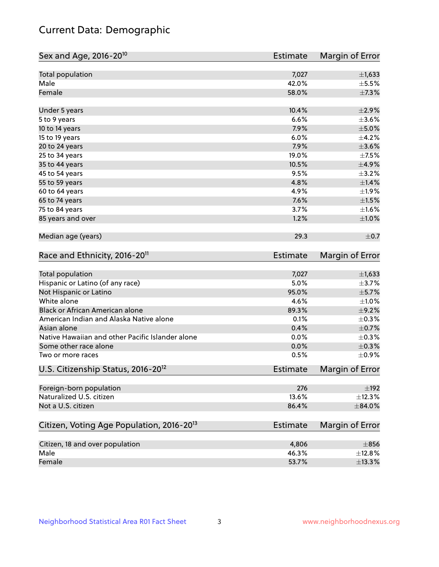## Current Data: Demographic

| Sex and Age, 2016-20 <sup>10</sup>                    | <b>Estimate</b> | Margin of Error |
|-------------------------------------------------------|-----------------|-----------------|
| Total population                                      | 7,027           | $\pm$ 1,633     |
| Male                                                  | 42.0%           | $\pm$ 5.5%      |
| Female                                                | 58.0%           | $\pm$ 7.3%      |
| Under 5 years                                         | 10.4%           | $\pm 2.9\%$     |
| 5 to 9 years                                          | 6.6%            | $\pm 3.6\%$     |
| 10 to 14 years                                        | 7.9%            | $\pm$ 5.0%      |
| 15 to 19 years                                        | 6.0%            | $\pm$ 4.2%      |
| 20 to 24 years                                        | 7.9%            | $\pm 3.6\%$     |
| 25 to 34 years                                        | 19.0%           | $\pm$ 7.5%      |
| 35 to 44 years                                        | 10.5%           | $\pm$ 4.9%      |
| 45 to 54 years                                        | 9.5%            | $\pm$ 3.2%      |
| 55 to 59 years                                        | 4.8%            | $\pm 1.4\%$     |
| 60 to 64 years                                        | 4.9%            | ±1.9%           |
| 65 to 74 years                                        | 7.6%            | $\pm1.5\%$      |
| 75 to 84 years                                        | 3.7%            | $\pm1.6\%$      |
| 85 years and over                                     | 1.2%            | ±1.0%           |
| Median age (years)                                    | 29.3            | $\pm$ 0.7       |
| Race and Ethnicity, 2016-20 <sup>11</sup>             | <b>Estimate</b> | Margin of Error |
| <b>Total population</b>                               | 7,027           | $\pm$ 1,633     |
| Hispanic or Latino (of any race)                      | 5.0%            | $\pm$ 3.7%      |
| Not Hispanic or Latino                                | 95.0%           | $\pm$ 5.7%      |
| White alone                                           | 4.6%            | $\pm 1.0\%$     |
| Black or African American alone                       | 89.3%           | $\pm$ 9.2%      |
| American Indian and Alaska Native alone               | 0.1%            | $\pm$ 0.3%      |
| Asian alone                                           | 0.4%            | $\pm$ 0.7%      |
| Native Hawaiian and other Pacific Islander alone      | 0.0%            | $\pm$ 0.3%      |
| Some other race alone                                 | 0.0%            | $\pm$ 0.3%      |
| Two or more races                                     | 0.5%            | $\pm$ 0.9%      |
| U.S. Citizenship Status, 2016-20 <sup>12</sup>        | <b>Estimate</b> | Margin of Error |
| Foreign-born population                               | 276             | $\pm$ 192       |
| Naturalized U.S. citizen                              | 13.6%           | ±12.3%          |
| Not a U.S. citizen                                    | 86.4%           | $\pm$ 84.0%     |
| Citizen, Voting Age Population, 2016-20 <sup>13</sup> | <b>Estimate</b> | Margin of Error |
| Citizen, 18 and over population                       | 4,806           | $\pm 856$       |
| Male                                                  | 46.3%           | ±12.8%          |
| Female                                                | 53.7%           | ±13.3%          |
|                                                       |                 |                 |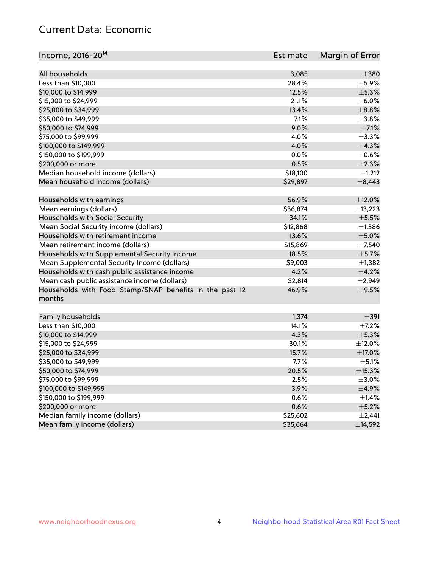## Current Data: Economic

| Income, 2016-20 <sup>14</sup>                           | <b>Estimate</b> | Margin of Error |
|---------------------------------------------------------|-----------------|-----------------|
| All households                                          |                 | $\pm 380$       |
|                                                         | 3,085<br>28.4%  | $\pm$ 5.9%      |
| Less than \$10,000                                      |                 |                 |
| \$10,000 to \$14,999                                    | 12.5%           | $\pm$ 5.3%      |
| \$15,000 to \$24,999                                    | 21.1%           | $\pm$ 6.0%      |
| \$25,000 to \$34,999                                    | 13.4%           | $\pm$ 8.8%      |
| \$35,000 to \$49,999                                    | 7.1%            | ±3.8%           |
| \$50,000 to \$74,999                                    | 9.0%            | $\pm$ 7.1%      |
| \$75,000 to \$99,999                                    | 4.0%            | ±3.3%           |
| \$100,000 to \$149,999                                  | 4.0%            | $\pm$ 4.3%      |
| \$150,000 to \$199,999                                  | 0.0%            | $\pm$ 0.6%      |
| \$200,000 or more                                       | 0.5%            | $\pm 2.3\%$     |
| Median household income (dollars)                       | \$18,100        | $\pm$ 1,212     |
| Mean household income (dollars)                         | \$29,897        | $\pm$ 8,443     |
| Households with earnings                                | 56.9%           | $\pm$ 12.0%     |
| Mean earnings (dollars)                                 | \$36,874        | ±13,223         |
| Households with Social Security                         | 34.1%           | $\pm$ 5.5%      |
| Mean Social Security income (dollars)                   | \$12,868        | $\pm$ 1,386     |
| Households with retirement income                       | 13.6%           | $\pm$ 5.0%      |
| Mean retirement income (dollars)                        | \$15,869        | $\pm$ 7,540     |
| Households with Supplemental Security Income            | 18.5%           | $\pm$ 5.7%      |
| Mean Supplemental Security Income (dollars)             | \$9,003         | ±1,382          |
| Households with cash public assistance income           | 4.2%            | ±4.2%           |
| Mean cash public assistance income (dollars)            | \$2,814         | $\pm 2,949$     |
| Households with Food Stamp/SNAP benefits in the past 12 | 46.9%           | $\pm$ 9.5%      |
| months                                                  |                 |                 |
|                                                         |                 |                 |
| Family households                                       | 1,374           | $\pm$ 391       |
| Less than \$10,000                                      | 14.1%           | $\pm$ 7.2%      |
| \$10,000 to \$14,999                                    | 4.3%            | ±5.3%           |
| \$15,000 to \$24,999                                    | 30.1%           | $\pm$ 12.0%     |
| \$25,000 to \$34,999                                    | 15.7%           | ±17.0%          |
| \$35,000 to \$49,999                                    | 7.7%            | $\pm$ 5.1%      |
| \$50,000 to \$74,999                                    | 20.5%           | $\pm$ 15.3%     |
| \$75,000 to \$99,999                                    | 2.5%            | $\pm$ 3.0%      |
| \$100,000 to \$149,999                                  | 3.9%            | $\pm$ 4.9%      |
| \$150,000 to \$199,999                                  | 0.6%            | $\pm$ 1.4%      |
| \$200,000 or more                                       | 0.6%            | $\pm$ 5.2%      |
| Median family income (dollars)                          | \$25,602        | $\pm 2,441$     |
| Mean family income (dollars)                            | \$35,664        | ±14,592         |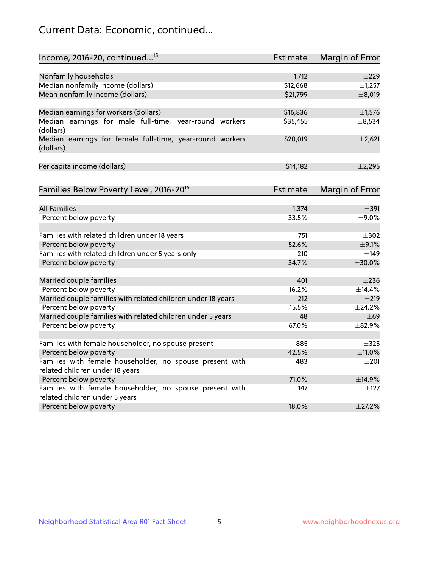## Current Data: Economic, continued...

| Income, 2016-20, continued <sup>15</sup>                              | <b>Estimate</b> | <b>Margin of Error</b> |
|-----------------------------------------------------------------------|-----------------|------------------------|
|                                                                       |                 |                        |
| Nonfamily households                                                  | 1,712           | $\pm 229$              |
| Median nonfamily income (dollars)                                     | \$12,668        | ±1,257                 |
| Mean nonfamily income (dollars)                                       | \$21,799        | ±8,019                 |
| Median earnings for workers (dollars)                                 | \$16,836        | $\pm$ 1,576            |
| Median earnings for male full-time, year-round workers<br>(dollars)   | \$35,455        | ±8,534                 |
| Median earnings for female full-time, year-round workers<br>(dollars) | \$20,019        | $\pm 2,621$            |
| Per capita income (dollars)                                           | \$14,182        | $\pm$ 2,295            |
| Families Below Poverty Level, 2016-20 <sup>16</sup>                   | <b>Estimate</b> | <b>Margin of Error</b> |
|                                                                       |                 |                        |
| <b>All Families</b>                                                   | 1,374           | $\pm$ 391              |
| Percent below poverty                                                 | 33.5%           | ±9.0%                  |
| Families with related children under 18 years                         | 751             | $\pm$ 302              |
| Percent below poverty                                                 | 52.6%           | $\pm$ 9.1%             |
| Families with related children under 5 years only                     | 210             | $\pm$ 149              |
| Percent below poverty                                                 | 34.7%           | $\pm 30.0\%$           |
| Married couple families                                               | 401             | $\pm 236$              |
| Percent below poverty                                                 | 16.2%           | ±14.4%                 |
| Married couple families with related children under 18 years          | 212             | $\pm 219$              |
| Percent below poverty                                                 | 15.5%           | ±24.2%                 |
| Married couple families with related children under 5 years           | 48              | $\pm 69$               |
| Percent below poverty                                                 | 67.0%           | ±82.9%                 |
| Families with female householder, no spouse present                   | 885             | $\pm$ 325              |
| Percent below poverty                                                 | 42.5%           | ±11.0%                 |
| Families with female householder, no spouse present with              | 483             | $\pm 201$              |
| related children under 18 years                                       |                 |                        |
| Percent below poverty                                                 | 71.0%           | ±14.9%                 |
| Families with female householder, no spouse present with              | 147             | $\pm$ 127              |
| related children under 5 years                                        |                 |                        |
| Percent below poverty                                                 | 18.0%           | ±27.2%                 |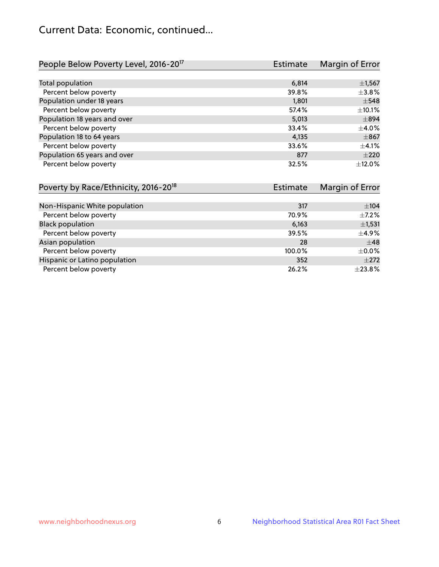## Current Data: Economic, continued...

| People Below Poverty Level, 2016-20 <sup>17</sup> | <b>Estimate</b> | Margin of Error |
|---------------------------------------------------|-----------------|-----------------|
|                                                   |                 |                 |
| Total population                                  | 6,814           | $\pm$ 1,567     |
| Percent below poverty                             | 39.8%           | $\pm$ 3.8%      |
| Population under 18 years                         | 1,801           | $\pm$ 548       |
| Percent below poverty                             | 57.4%           | $\pm$ 10.1%     |
| Population 18 years and over                      | 5,013           | $\pm$ 894       |
| Percent below poverty                             | 33.4%           | $\pm$ 4.0%      |
| Population 18 to 64 years                         | 4,135           | $\pm$ 867       |
| Percent below poverty                             | 33.6%           | $\pm$ 4.1%      |
| Population 65 years and over                      | 877             | $\pm 220$       |
| Percent below poverty                             | 32.5%           | ±12.0%          |

| Poverty by Race/Ethnicity, 2016-20 <sup>18</sup> | Estimate |             |
|--------------------------------------------------|----------|-------------|
|                                                  |          |             |
| Non-Hispanic White population                    | 317      | $\pm$ 104   |
| Percent below poverty                            | 70.9%    | $\pm$ 7.2%  |
| <b>Black population</b>                          | 6,163    | $\pm$ 1,531 |
| Percent below poverty                            | 39.5%    | $\pm$ 4.9%  |
| Asian population                                 | 28       | $\pm$ 48    |
| Percent below poverty                            | 100.0%   | $\pm$ 0.0%  |
| Hispanic or Latino population                    | 352      | $\pm 272$   |
| Percent below poverty                            | 26.2%    | ±23.8%      |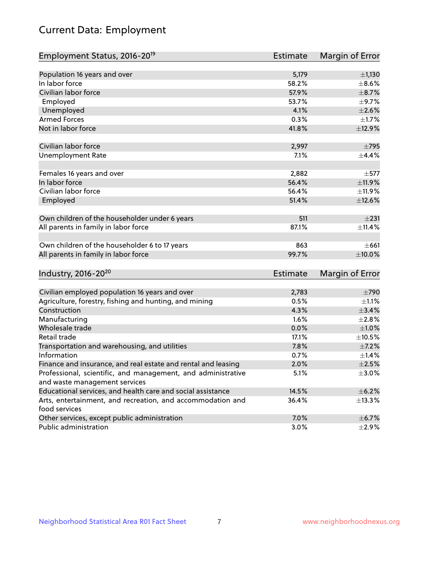# Current Data: Employment

| Employment Status, 2016-20 <sup>19</sup>                                    | Estimate        | Margin of Error |
|-----------------------------------------------------------------------------|-----------------|-----------------|
|                                                                             |                 |                 |
| Population 16 years and over                                                | 5,179           | ±1,130          |
| In labor force                                                              | 58.2%           | $\pm$ 8.6%      |
| Civilian labor force                                                        | 57.9%           | $\pm$ 8.7%      |
| Employed                                                                    | 53.7%           | $\pm$ 9.7%      |
| Unemployed                                                                  | 4.1%            | $\pm 2.6\%$     |
| <b>Armed Forces</b>                                                         | 0.3%            | $\pm1.7\%$      |
| Not in labor force                                                          | 41.8%           | ±12.9%          |
| Civilian labor force                                                        | 2,997           | $\pm$ 795       |
| <b>Unemployment Rate</b>                                                    | 7.1%            | $\pm$ 4.4%      |
| Females 16 years and over                                                   | 2,882           | $\pm$ 577       |
| In labor force                                                              | 56.4%           | $\pm$ 11.9%     |
| Civilian labor force                                                        | 56.4%           | ±11.9%          |
| Employed                                                                    | 51.4%           | $\pm$ 12.6%     |
| Own children of the householder under 6 years                               | 511             | $\pm 231$       |
| All parents in family in labor force                                        | 87.1%           | ±11.4%          |
| Own children of the householder 6 to 17 years                               | 863             | ±661            |
| All parents in family in labor force                                        | 99.7%           | $\pm 10.0\%$    |
| Industry, 2016-20 <sup>20</sup>                                             | <b>Estimate</b> | Margin of Error |
|                                                                             |                 |                 |
| Civilian employed population 16 years and over                              | 2,783           | $\pm 790$       |
| Agriculture, forestry, fishing and hunting, and mining                      | 0.5%            | $\pm 1.1\%$     |
| Construction                                                                | 4.3%            | $\pm$ 3.4%      |
| Manufacturing                                                               | 1.6%            | ±2.8%           |
| Wholesale trade                                                             | 0.0%            | ±1.0%           |
| Retail trade                                                                | 17.1%           | $\pm 10.5\%$    |
| Transportation and warehousing, and utilities                               | 7.8%            | $\pm$ 7.2%      |
| Information                                                                 | 0.7%            | ±1.4%           |
| Finance and insurance, and real estate and rental and leasing               | 2.0%            | $\pm 2.5\%$     |
| Professional, scientific, and management, and administrative                | 5.1%            | $\pm 3.0\%$     |
| and waste management services                                               |                 |                 |
| Educational services, and health care and social assistance                 | 14.5%           | $\pm$ 6.2%      |
| Arts, entertainment, and recreation, and accommodation and<br>food services | 36.4%           | ±13.3%          |
| Other services, except public administration                                | 7.0%            | $\pm$ 6.7%      |
| Public administration                                                       | 3.0%            | $\pm 2.9\%$     |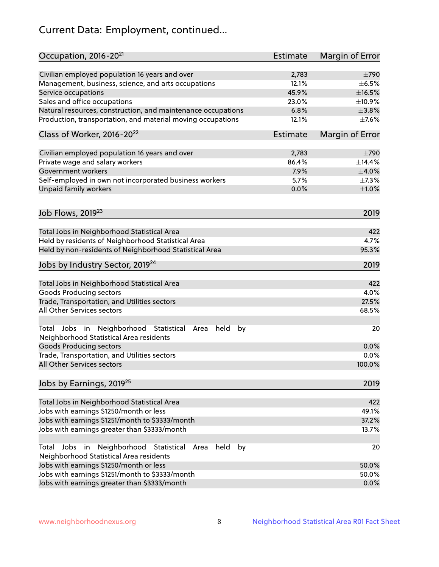# Current Data: Employment, continued...

| Occupation, 2016-20 <sup>21</sup>                                                                       | <b>Estimate</b> | Margin of Error |
|---------------------------------------------------------------------------------------------------------|-----------------|-----------------|
| Civilian employed population 16 years and over                                                          | 2,783           | $\pm 790$       |
| Management, business, science, and arts occupations                                                     | 12.1%           | $\pm$ 6.5%      |
| Service occupations                                                                                     | 45.9%           | $\pm$ 16.5%     |
| Sales and office occupations                                                                            | 23.0%           | ±10.9%          |
| Natural resources, construction, and maintenance occupations                                            | 6.8%            | $\pm 3.8\%$     |
| Production, transportation, and material moving occupations                                             | 12.1%           | $\pm$ 7.6%      |
| Class of Worker, 2016-20 <sup>22</sup>                                                                  | Estimate        | Margin of Error |
| Civilian employed population 16 years and over                                                          | 2,783           | $\pm 790$       |
| Private wage and salary workers                                                                         | 86.4%           | ±14.4%          |
| Government workers                                                                                      | 7.9%            | $\pm$ 4.0%      |
| Self-employed in own not incorporated business workers                                                  | 5.7%            | $\pm$ 7.3%      |
| Unpaid family workers                                                                                   | 0.0%            | ±1.0%           |
| Job Flows, 2019 <sup>23</sup>                                                                           |                 | 2019            |
|                                                                                                         |                 |                 |
| Total Jobs in Neighborhood Statistical Area                                                             |                 | 422             |
| Held by residents of Neighborhood Statistical Area                                                      |                 | 4.7%            |
| Held by non-residents of Neighborhood Statistical Area                                                  |                 | 95.3%           |
| Jobs by Industry Sector, 2019 <sup>24</sup>                                                             |                 | 2019            |
| Total Jobs in Neighborhood Statistical Area                                                             |                 | 422             |
| <b>Goods Producing sectors</b>                                                                          |                 | 4.0%            |
| Trade, Transportation, and Utilities sectors                                                            |                 | 27.5%           |
| All Other Services sectors                                                                              |                 | 68.5%           |
| Total Jobs in Neighborhood Statistical<br>held<br>by<br>Area<br>Neighborhood Statistical Area residents |                 | 20              |
| <b>Goods Producing sectors</b>                                                                          |                 | 0.0%            |
| Trade, Transportation, and Utilities sectors                                                            |                 | 0.0%            |
| All Other Services sectors                                                                              |                 | 100.0%          |
| Jobs by Earnings, 2019 <sup>25</sup>                                                                    |                 | 2019            |
| Total Jobs in Neighborhood Statistical Area                                                             |                 | 422             |
| Jobs with earnings \$1250/month or less                                                                 |                 | 49.1%           |
| Jobs with earnings \$1251/month to \$3333/month                                                         |                 | 37.2%           |
| Jobs with earnings greater than \$3333/month                                                            |                 | 13.7%           |
| Neighborhood Statistical<br>Total Jobs<br>in<br>Area<br>held<br>by                                      |                 | 20              |
| Neighborhood Statistical Area residents                                                                 |                 |                 |
| Jobs with earnings \$1250/month or less                                                                 |                 | 50.0%           |
| Jobs with earnings \$1251/month to \$3333/month                                                         |                 | 50.0%           |
| Jobs with earnings greater than \$3333/month                                                            |                 | 0.0%            |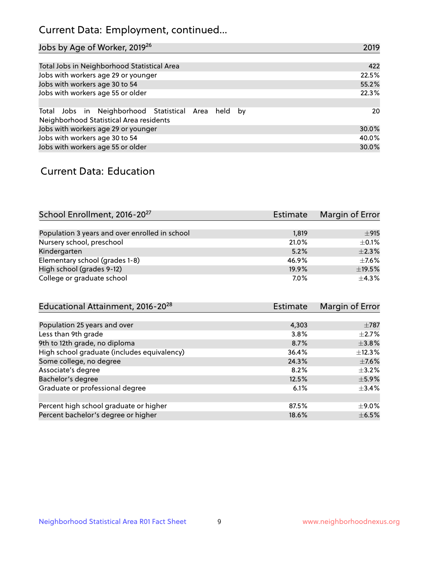## Current Data: Employment, continued...

| Jobs by Age of Worker, 2019 <sup>26</sup>                                                      | 2019  |
|------------------------------------------------------------------------------------------------|-------|
|                                                                                                |       |
| Total Jobs in Neighborhood Statistical Area                                                    | 422   |
| Jobs with workers age 29 or younger                                                            | 22.5% |
| Jobs with workers age 30 to 54                                                                 | 55.2% |
| Jobs with workers age 55 or older                                                              | 22.3% |
|                                                                                                |       |
| Total Jobs in Neighborhood Statistical Area held by<br>Neighborhood Statistical Area residents | 20    |
| Jobs with workers age 29 or younger                                                            | 30.0% |
| Jobs with workers age 30 to 54                                                                 | 40.0% |
| Jobs with workers age 55 or older                                                              | 30.0% |

### Current Data: Education

| School Enrollment, 2016-20 <sup>27</sup>       | <b>Estimate</b> | Margin of Error |
|------------------------------------------------|-----------------|-----------------|
|                                                |                 |                 |
| Population 3 years and over enrolled in school | 1,819           | ±915            |
| Nursery school, preschool                      | 21.0%           | $\pm$ 0.1%      |
| Kindergarten                                   | 5.2%            | $\pm 2.3\%$     |
| Elementary school (grades 1-8)                 | 46.9%           | $\pm$ 7.6%      |
| High school (grades 9-12)                      | 19.9%           | $\pm$ 19.5%     |
| College or graduate school                     | 7.0%            | $+4.3%$         |

| Educational Attainment, 2016-20 <sup>28</sup> | Estimate | Margin of Error |
|-----------------------------------------------|----------|-----------------|
|                                               |          |                 |
| Population 25 years and over                  | 4,303    | $\pm 787$       |
| Less than 9th grade                           | 3.8%     | $\pm 2.7\%$     |
| 9th to 12th grade, no diploma                 | 8.7%     | $\pm$ 3.8%      |
| High school graduate (includes equivalency)   | 36.4%    | $+12.3%$        |
| Some college, no degree                       | 24.3%    | $\pm$ 7.6%      |
| Associate's degree                            | 8.2%     | $\pm$ 3.2%      |
| Bachelor's degree                             | 12.5%    | $\pm$ 5.9%      |
| Graduate or professional degree               | 6.1%     | $\pm$ 3.4%      |
|                                               |          |                 |
| Percent high school graduate or higher        | 87.5%    | $\pm$ 9.0%      |
| Percent bachelor's degree or higher           | 18.6%    | $\pm$ 6.5%      |
|                                               |          |                 |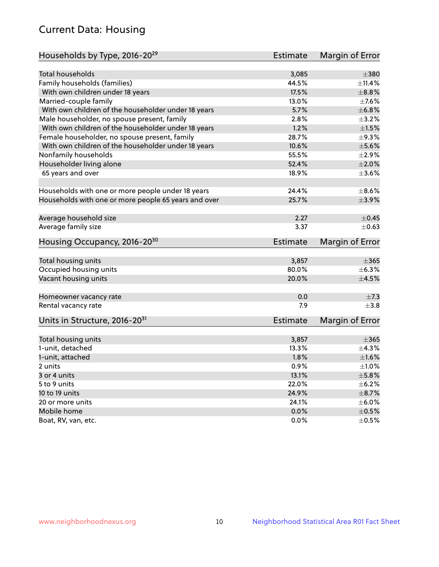## Current Data: Housing

| Households by Type, 2016-20 <sup>29</sup>            | <b>Estimate</b> | Margin of Error |
|------------------------------------------------------|-----------------|-----------------|
|                                                      |                 |                 |
| <b>Total households</b>                              | 3,085           | $\pm$ 380       |
| Family households (families)                         | 44.5%           | $\pm$ 11.4%     |
| With own children under 18 years                     | 17.5%           | $\pm$ 8.8%      |
| Married-couple family                                | 13.0%           | $\pm$ 7.6%      |
| With own children of the householder under 18 years  | 5.7%            | ±6.8%           |
| Male householder, no spouse present, family          | 2.8%            | $\pm$ 3.2%      |
| With own children of the householder under 18 years  | 1.2%            | $\pm1.5\%$      |
| Female householder, no spouse present, family        | 28.7%           | $\pm$ 9.3%      |
| With own children of the householder under 18 years  | 10.6%           | $\pm$ 5.6%      |
| Nonfamily households                                 | 55.5%           | $\pm 2.9\%$     |
| Householder living alone                             | 52.4%           | $\pm 2.0\%$     |
| 65 years and over                                    | 18.9%           | $\pm 3.6\%$     |
|                                                      |                 |                 |
| Households with one or more people under 18 years    | 24.4%           | $\pm$ 8.6%      |
| Households with one or more people 65 years and over | 25.7%           | $\pm$ 3.9%      |
|                                                      |                 |                 |
| Average household size                               | 2.27            | $\pm$ 0.45      |
| Average family size                                  | 3.37            | $\pm$ 0.63      |
|                                                      |                 |                 |
| Housing Occupancy, 2016-20 <sup>30</sup>             | <b>Estimate</b> | Margin of Error |
| Total housing units                                  | 3,857           | $\pm 365$       |
| Occupied housing units                               | 80.0%           | $\pm$ 6.3%      |
| Vacant housing units                                 | 20.0%           | $\pm 4.5\%$     |
|                                                      |                 |                 |
| Homeowner vacancy rate                               | 0.0             | $\pm$ 7.3       |
| Rental vacancy rate                                  | 7.9             | $\pm$ 3.8       |
| Units in Structure, 2016-20 <sup>31</sup>            | <b>Estimate</b> | Margin of Error |
|                                                      |                 |                 |
| Total housing units                                  | 3,857           | $\pm 365$       |
| 1-unit, detached                                     | 13.3%           | $\pm$ 4.3%      |
| 1-unit, attached                                     | 1.8%            | $\pm1.6\%$      |
| 2 units                                              | 0.9%            | $\pm 1.0\%$     |
| 3 or 4 units                                         | 13.1%           | $\pm$ 5.8%      |
| 5 to 9 units                                         | 22.0%           | $\pm$ 6.2%      |
| 10 to 19 units                                       | 24.9%           | $\pm$ 8.7%      |
| 20 or more units                                     | 24.1%           | $\pm$ 6.0%      |
| Mobile home                                          | 0.0%            | $\pm$ 0.5%      |
| Boat, RV, van, etc.                                  | 0.0%            | $\pm$ 0.5%      |
|                                                      |                 |                 |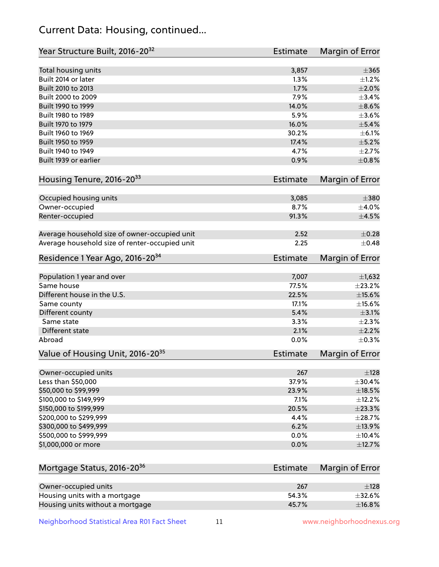## Current Data: Housing, continued...

| Year Structure Built, 2016-20 <sup>32</sup>    | <b>Estimate</b> | <b>Margin of Error</b> |
|------------------------------------------------|-----------------|------------------------|
| Total housing units                            | 3,857           | $\pm 365$              |
| Built 2014 or later                            | 1.3%            | $\pm 1.2\%$            |
| Built 2010 to 2013                             | 1.7%            | ±2.0%                  |
| Built 2000 to 2009                             | 7.9%            | ±3.4%                  |
| Built 1990 to 1999                             | 14.0%           | $\pm$ 8.6%             |
| Built 1980 to 1989                             | 5.9%            | $\pm$ 3.6%             |
| Built 1970 to 1979                             | 16.0%           | $\pm$ 5.4%             |
| Built 1960 to 1969                             | 30.2%           | $\pm$ 6.1%             |
| Built 1950 to 1959                             | 17.4%           | $\pm$ 5.2%             |
| Built 1940 to 1949                             | 4.7%            | $\pm 2.7\%$            |
| Built 1939 or earlier                          | 0.9%            | $\pm$ 0.8%             |
| Housing Tenure, 2016-2033                      | <b>Estimate</b> | Margin of Error        |
| Occupied housing units                         | 3,085           | $\pm 380$              |
| Owner-occupied                                 | 8.7%            | $\pm$ 4.0%             |
| Renter-occupied                                | 91.3%           | $\pm$ 4.5%             |
| Average household size of owner-occupied unit  | 2.52            | $\pm$ 0.28             |
| Average household size of renter-occupied unit | 2.25            | $\pm$ 0.48             |
| Residence 1 Year Ago, 2016-20 <sup>34</sup>    | <b>Estimate</b> | <b>Margin of Error</b> |
| Population 1 year and over                     | 7,007           | $\pm$ 1,632            |
| Same house                                     | 77.5%           | ±23.2%                 |
| Different house in the U.S.                    | 22.5%           | $\pm$ 15.6%            |
| Same county                                    | 17.1%           | ±15.6%                 |
| Different county                               | 5.4%            | $\pm$ 3.1%             |
| Same state                                     | 3.3%            | $\pm 2.3\%$            |
| Different state                                | 2.1%            | $\pm 2.2\%$            |
| Abroad                                         | 0.0%            | $\pm$ 0.3%             |
| Value of Housing Unit, 2016-20 <sup>35</sup>   | <b>Estimate</b> | Margin of Error        |
| Owner-occupied units                           | 267             | ±128                   |
| Less than \$50,000                             | 37.9%           | ±30.4%                 |
| \$50,000 to \$99,999                           | 23.9%           | $\pm$ 18.5%            |
| \$100,000 to \$149,999                         | 7.1%            | ±12.2%                 |
| \$150,000 to \$199,999                         | 20.5%           | ±23.3%                 |
| \$200,000 to \$299,999                         | 4.4%            | ±28.7%                 |
| \$300,000 to \$499,999                         | 6.2%            | ±13.9%                 |
| \$500,000 to \$999,999                         | 0.0%            | ±10.4%                 |
| \$1,000,000 or more                            | 0.0%            | ±12.7%                 |
| Mortgage Status, 2016-20 <sup>36</sup>         | <b>Estimate</b> | Margin of Error        |
| Owner-occupied units                           | 267             | ±128                   |
| Housing units with a mortgage                  | 54.3%           | $\pm$ 32.6%            |
|                                                |                 |                        |

Neighborhood Statistical Area R01 Fact Sheet 11 11 www.neighborhoodnexus.org

Housing units without a mortgage  $\pm 16.8\%$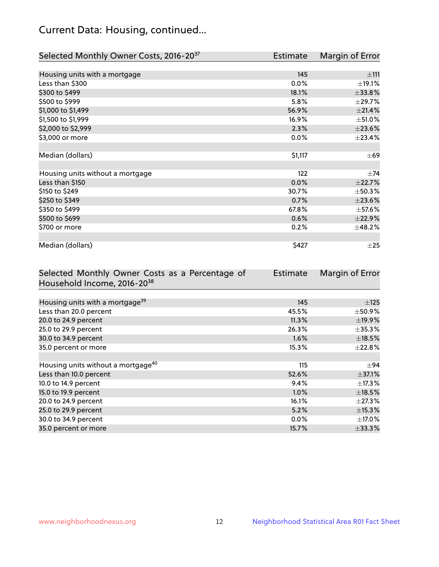## Current Data: Housing, continued...

| Selected Monthly Owner Costs, 2016-20 <sup>37</sup> | Estimate | Margin of Error |
|-----------------------------------------------------|----------|-----------------|
|                                                     |          |                 |
| Housing units with a mortgage                       | 145      | ±111            |
| Less than \$300                                     | 0.0%     | ±19.1%          |
| \$300 to \$499                                      | 18.1%    | $\pm 33.8\%$    |
| \$500 to \$999                                      | 5.8%     | ±29.7%          |
| \$1,000 to \$1,499                                  | 56.9%    | $\pm 21.4\%$    |
| \$1,500 to \$1,999                                  | 16.9%    | $\pm$ 51.0%     |
| \$2,000 to \$2,999                                  | 2.3%     | $\pm 23.6\%$    |
| \$3,000 or more                                     | 0.0%     | ±23.4%          |
|                                                     |          |                 |
| Median (dollars)                                    | \$1,117  | $\pm 69$        |
|                                                     |          |                 |
| Housing units without a mortgage                    | 122      | $\pm$ 74        |
| Less than \$150                                     | 0.0%     | ±22.7%          |
| \$150 to \$249                                      | 30.7%    | ±50.3%          |
| \$250 to \$349                                      | 0.7%     | $\pm 23.6\%$    |
| \$350 to \$499                                      | 67.8%    | $\pm$ 57.6%     |
| \$500 to \$699                                      | 0.6%     | ±22.9%          |
| \$700 or more                                       | 0.2%     | ±48.2%          |
|                                                     |          |                 |
| Median (dollars)                                    | \$427    | $\pm 25$        |

| Selected Monthly Owner Costs as a Percentage of | <b>Estimate</b> | Margin of Error |
|-------------------------------------------------|-----------------|-----------------|
| Household Income, 2016-20 <sup>38</sup>         |                 |                 |
|                                                 |                 |                 |
| Housing units with a mortgage <sup>39</sup>     | 145             | $\pm$ 125       |
| Less than 20.0 percent                          | 45.5%           | $\pm$ 50.9%     |
| 20.0 to 24.9 percent                            | 11.3%           | ±19.9%          |
| 25.0 to 29.9 percent                            | 26.3%           | $\pm$ 35.3%     |
| 30.0 to 34.9 percent                            | 1.6%            | $\pm$ 18.5%     |
| 35.0 percent or more                            | 15.3%           | $\pm 22.8\%$    |
|                                                 |                 |                 |
| Housing units without a mortgage <sup>40</sup>  | 115             | $\pm 94$        |
| Less than 10.0 percent                          | 52.6%           | $\pm$ 37.1%     |
| 10.0 to 14.9 percent                            | 9.4%            | $\pm$ 17.3%     |
| 15.0 to 19.9 percent                            | $1.0\%$         | $\pm$ 18.5%     |
| 20.0 to 24.9 percent                            | 16.1%           | $\pm$ 27.3%     |
| 25.0 to 29.9 percent                            | 5.2%            | $\pm$ 15.3%     |
| 30.0 to 34.9 percent                            | 0.0%            | $\pm$ 17.0%     |
| 35.0 percent or more                            | 15.7%           | $\pm$ 33.3%     |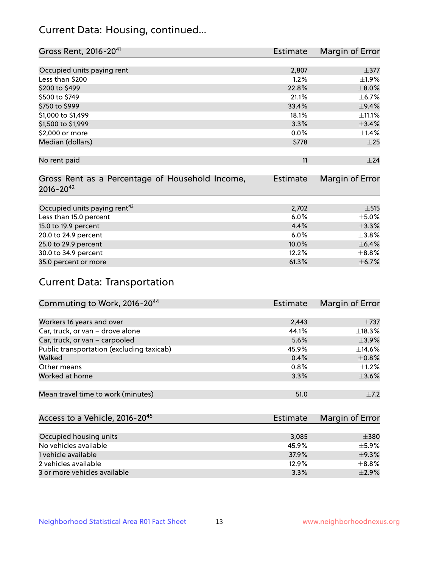## Current Data: Housing, continued...

| Gross Rent, 2016-20 <sup>41</sup>               | Estimate        | Margin of Error |
|-------------------------------------------------|-----------------|-----------------|
|                                                 |                 |                 |
| Occupied units paying rent                      | 2,807           | $\pm$ 377       |
| Less than \$200                                 | 1.2%            | $\pm 1.9\%$     |
| \$200 to \$499                                  | 22.8%           | $\pm 8.0\%$     |
| \$500 to \$749                                  | 21.1%           | $\pm$ 6.7%      |
| \$750 to \$999                                  | 33.4%           | $\pm$ 9.4%      |
| \$1,000 to \$1,499                              | 18.1%           | ±11.1%          |
| \$1,500 to \$1,999                              | 3.3%            | ±3.4%           |
| \$2,000 or more                                 | $0.0\%$         | $\pm$ 1.4%      |
| Median (dollars)                                | \$778           | $\pm 25$        |
|                                                 |                 |                 |
| No rent paid                                    | 11              | ±24             |
|                                                 |                 |                 |
| Gross Rent as a Percentage of Household Income, | <b>Estimate</b> | Margin of Error |
| $2016 - 20^{42}$                                |                 |                 |
|                                                 |                 |                 |
| Occupied units paying rent <sup>43</sup>        | 2,702           | $\pm$ 515       |
| Less than 15.0 percent                          | 6.0%            | $\pm$ 5.0%      |
| 15.0 to 19.9 percent                            | 4.4%            | ±3.3%           |
| 20.0 to 24.9 percent                            | 6.0%            | ±3.8%           |
| 25.0 to 29.9 percent                            | 10.0%           | $\pm$ 6.4%      |
| 30.0 to 34.9 percent                            | 12.2%           | $\pm$ 8.8%      |
| 35.0 percent or more                            | 61.3%           | $\pm$ 6.7%      |

# Current Data: Transportation

| Commuting to Work, 2016-20 <sup>44</sup>  | <b>Estimate</b> | Margin of Error |
|-------------------------------------------|-----------------|-----------------|
|                                           |                 |                 |
| Workers 16 years and over                 | 2,443           | $\pm 737$       |
| Car, truck, or van - drove alone          | 44.1%           | $\pm$ 18.3%     |
| Car, truck, or van - carpooled            | 5.6%            | $\pm$ 3.9%      |
| Public transportation (excluding taxicab) | 45.9%           | $\pm$ 14.6%     |
| Walked                                    | 0.4%            | $\pm$ 0.8%      |
| Other means                               | $0.8\%$         | $\pm 1.2\%$     |
| Worked at home                            | 3.3%            | $\pm 3.6\%$     |
|                                           |                 |                 |
| Mean travel time to work (minutes)        | 51.0            | $\pm$ 7.2       |

| Access to a Vehicle, 2016-20 <sup>45</sup> | Estimate | Margin of Error |
|--------------------------------------------|----------|-----------------|
|                                            |          |                 |
| Occupied housing units                     | 3,085    | $\pm$ 380       |
| No vehicles available                      | 45.9%    | $\pm$ 5.9%      |
| 1 vehicle available                        | 37.9%    | $\pm$ 9.3%      |
| 2 vehicles available                       | 12.9%    | $\pm$ 8.8%      |
| 3 or more vehicles available               | 3.3%     | $+2.9%$         |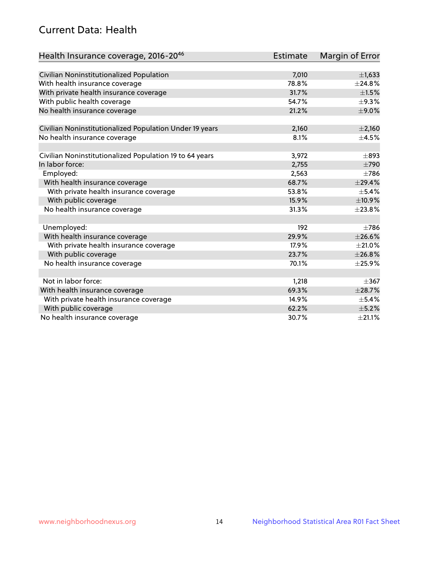## Current Data: Health

| Health Insurance coverage, 2016-2046                    | <b>Estimate</b> | Margin of Error |
|---------------------------------------------------------|-----------------|-----------------|
|                                                         |                 |                 |
| Civilian Noninstitutionalized Population                | 7,010           | $\pm$ 1,633     |
| With health insurance coverage                          | 78.8%           | ±24.8%          |
| With private health insurance coverage                  | 31.7%           | $\pm 1.5\%$     |
| With public health coverage                             | 54.7%           | $\pm$ 9.3%      |
| No health insurance coverage                            | 21.2%           | $\pm$ 9.0%      |
| Civilian Noninstitutionalized Population Under 19 years | 2,160           | $\pm 2,160$     |
| No health insurance coverage                            | 8.1%            | $\pm$ 4.5%      |
|                                                         |                 |                 |
| Civilian Noninstitutionalized Population 19 to 64 years | 3,972           | $\pm$ 893       |
| In labor force:                                         | 2,755           | $\pm 790$       |
| Employed:                                               | 2,563           | $\pm 786$       |
| With health insurance coverage                          | 68.7%           | ±29.4%          |
| With private health insurance coverage                  | 53.8%           | $\pm$ 5.4%      |
| With public coverage                                    | 15.9%           | ±10.9%          |
| No health insurance coverage                            | 31.3%           | ±23.8%          |
| Unemployed:                                             | 192             | $\pm 786$       |
| With health insurance coverage                          | 29.9%           | ±26.6%          |
| With private health insurance coverage                  | 17.9%           | $\pm 21.0\%$    |
| With public coverage                                    | 23.7%           | ±26.8%          |
| No health insurance coverage                            | 70.1%           | ±25.9%          |
|                                                         |                 |                 |
| Not in labor force:                                     | 1,218           | $\pm$ 367       |
| With health insurance coverage                          | 69.3%           | ±28.7%          |
| With private health insurance coverage                  | 14.9%           | $\pm$ 5.4%      |
| With public coverage                                    | 62.2%           | $\pm$ 5.2%      |
| No health insurance coverage                            | 30.7%           | $\pm 21.1\%$    |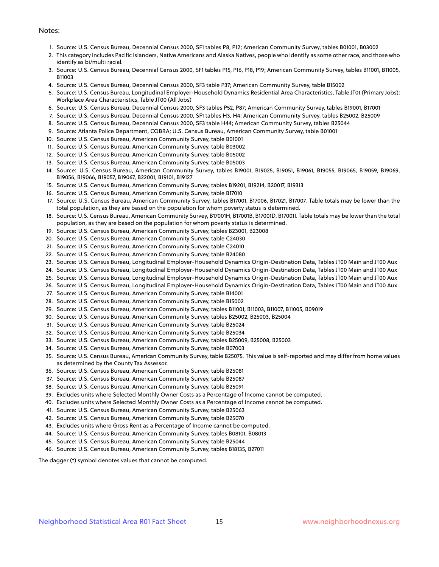#### Notes:

- 1. Source: U.S. Census Bureau, Decennial Census 2000, SF1 tables P8, P12; American Community Survey, tables B01001, B03002
- 2. This category includes Pacific Islanders, Native Americans and Alaska Natives, people who identify as some other race, and those who identify as bi/multi racial.
- 3. Source: U.S. Census Bureau, Decennial Census 2000, SF1 tables P15, P16, P18, P19; American Community Survey, tables B11001, B11005, B11003
- 4. Source: U.S. Census Bureau, Decennial Census 2000, SF3 table P37; American Community Survey, table B15002
- 5. Source: U.S. Census Bureau, Longitudinal Employer-Household Dynamics Residential Area Characteristics, Table JT01 (Primary Jobs); Workplace Area Characteristics, Table JT00 (All Jobs)
- 6. Source: U.S. Census Bureau, Decennial Census 2000, SF3 tables P52, P87; American Community Survey, tables B19001, B17001
- 7. Source: U.S. Census Bureau, Decennial Census 2000, SF1 tables H3, H4; American Community Survey, tables B25002, B25009
- 8. Source: U.S. Census Bureau, Decennial Census 2000, SF3 table H44; American Community Survey, tables B25044
- 9. Source: Atlanta Police Department, COBRA; U.S. Census Bureau, American Community Survey, table B01001
- 10. Source: U.S. Census Bureau, American Community Survey, table B01001
- 11. Source: U.S. Census Bureau, American Community Survey, table B03002
- 12. Source: U.S. Census Bureau, American Community Survey, table B05002
- 13. Source: U.S. Census Bureau, American Community Survey, table B05003
- 14. Source: U.S. Census Bureau, American Community Survey, tables B19001, B19025, B19051, B19061, B19055, B19065, B19059, B19069, B19056, B19066, B19057, B19067, B22001, B19101, B19127
- 15. Source: U.S. Census Bureau, American Community Survey, tables B19201, B19214, B20017, B19313
- 16. Source: U.S. Census Bureau, American Community Survey, table B17010
- 17. Source: U.S. Census Bureau, American Community Survey, tables B17001, B17006, B17021, B17007. Table totals may be lower than the total population, as they are based on the population for whom poverty status is determined.
- 18. Source: U.S. Census Bureau, American Community Survey, B17001H, B17001B, B17001D, B17001I. Table totals may be lower than the total population, as they are based on the population for whom poverty status is determined.
- 19. Source: U.S. Census Bureau, American Community Survey, tables B23001, B23008
- 20. Source: U.S. Census Bureau, American Community Survey, table C24030
- 21. Source: U.S. Census Bureau, American Community Survey, table C24010
- 22. Source: U.S. Census Bureau, American Community Survey, table B24080
- 23. Source: U.S. Census Bureau, Longitudinal Employer-Household Dynamics Origin-Destination Data, Tables JT00 Main and JT00 Aux
- 24. Source: U.S. Census Bureau, Longitudinal Employer-Household Dynamics Origin-Destination Data, Tables JT00 Main and JT00 Aux
- 25. Source: U.S. Census Bureau, Longitudinal Employer-Household Dynamics Origin-Destination Data, Tables JT00 Main and JT00 Aux
- 26. Source: U.S. Census Bureau, Longitudinal Employer-Household Dynamics Origin-Destination Data, Tables JT00 Main and JT00 Aux
- 27. Source: U.S. Census Bureau, American Community Survey, table B14001
- 28. Source: U.S. Census Bureau, American Community Survey, table B15002
- 29. Source: U.S. Census Bureau, American Community Survey, tables B11001, B11003, B11007, B11005, B09019
- 30. Source: U.S. Census Bureau, American Community Survey, tables B25002, B25003, B25004
- 31. Source: U.S. Census Bureau, American Community Survey, table B25024
- 32. Source: U.S. Census Bureau, American Community Survey, table B25034
- 33. Source: U.S. Census Bureau, American Community Survey, tables B25009, B25008, B25003
- 34. Source: U.S. Census Bureau, American Community Survey, table B07003
- 35. Source: U.S. Census Bureau, American Community Survey, table B25075. This value is self-reported and may differ from home values as determined by the County Tax Assessor.
- 36. Source: U.S. Census Bureau, American Community Survey, table B25081
- 37. Source: U.S. Census Bureau, American Community Survey, table B25087
- 38. Source: U.S. Census Bureau, American Community Survey, table B25091
- 39. Excludes units where Selected Monthly Owner Costs as a Percentage of Income cannot be computed.
- 40. Excludes units where Selected Monthly Owner Costs as a Percentage of Income cannot be computed.
- 41. Source: U.S. Census Bureau, American Community Survey, table B25063
- 42. Source: U.S. Census Bureau, American Community Survey, table B25070
- 43. Excludes units where Gross Rent as a Percentage of Income cannot be computed.
- 44. Source: U.S. Census Bureau, American Community Survey, tables B08101, B08013
- 45. Source: U.S. Census Bureau, American Community Survey, table B25044
- 46. Source: U.S. Census Bureau, American Community Survey, tables B18135, B27011

The dagger (†) symbol denotes values that cannot be computed.